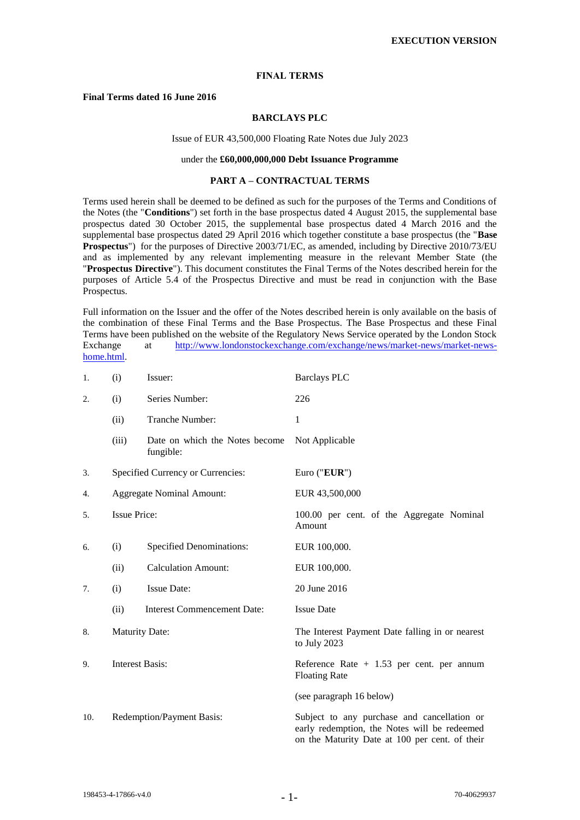### **FINAL TERMS**

### **Final Terms dated 16 June 2016**

### **BARCLAYS PLC**

### Issue of EUR 43,500,000 Floating Rate Notes due July 2023

### under the **£60,000,000,000 Debt Issuance Programme**

#### **PART A – CONTRACTUAL TERMS**

Terms used herein shall be deemed to be defined as such for the purposes of the Terms and Conditions of the Notes (the "**Conditions**") set forth in the base prospectus dated 4 August 2015, the supplemental base prospectus dated 30 October 2015, the supplemental base prospectus dated 4 March 2016 and the supplemental base prospectus dated 29 April 2016 which together constitute a base prospectus (the "**Base Prospectus**") for the purposes of Directive 2003/71/EC, as amended, including by Directive 2010/73/EU and as implemented by any relevant implementing measure in the relevant Member State (the "**Prospectus Directive**"). This document constitutes the Final Terms of the Notes described herein for the purposes of Article 5.4 of the Prospectus Directive and must be read in conjunction with the Base Prospectus.

Full information on the Issuer and the offer of the Notes described herein is only available on the basis of the combination of these Final Terms and the Base Prospectus. The Base Prospectus and these Final Terms have been published on the website of the Regulatory News Service operated by the London Stock Exchange at [http://www.londonstockexchange.com/exchange/news/market-news/market-news](http://www.londonstockexchange.com/exchange/news/market-news/market-news-home.html)[home.html.](http://www.londonstockexchange.com/exchange/news/market-news/market-news-home.html)

| 1.  | (i)                       | Issuer:                                     | <b>Barclays PLC</b>                                                                                                                           |
|-----|---------------------------|---------------------------------------------|-----------------------------------------------------------------------------------------------------------------------------------------------|
| 2.  | (i)                       | Series Number:                              | 226                                                                                                                                           |
|     | (ii)                      | Tranche Number:                             | 1                                                                                                                                             |
|     | (iii)                     | Date on which the Notes become<br>fungible: | Not Applicable                                                                                                                                |
| 3.  |                           | Specified Currency or Currencies:           | Euro (" $EUR$ ")                                                                                                                              |
| 4.  |                           | <b>Aggregate Nominal Amount:</b>            | EUR 43,500,000                                                                                                                                |
| 5.  | <b>Issue Price:</b>       |                                             | 100.00 per cent. of the Aggregate Nominal<br>Amount                                                                                           |
| 6.  | (i)                       | <b>Specified Denominations:</b>             | EUR 100,000.                                                                                                                                  |
|     | (ii)                      | <b>Calculation Amount:</b>                  | EUR 100,000.                                                                                                                                  |
| 7.  | (i)                       | Issue Date:                                 | 20 June 2016                                                                                                                                  |
|     | (ii)                      | <b>Interest Commencement Date:</b>          | <b>Issue Date</b>                                                                                                                             |
| 8.  | <b>Maturity Date:</b>     |                                             | The Interest Payment Date falling in or nearest<br>to July 2023                                                                               |
| 9.  | <b>Interest Basis:</b>    |                                             | Reference Rate $+1.53$ per cent. per annum<br><b>Floating Rate</b>                                                                            |
|     |                           |                                             | (see paragraph 16 below)                                                                                                                      |
| 10. | Redemption/Payment Basis: |                                             | Subject to any purchase and cancellation or<br>early redemption, the Notes will be redeemed<br>on the Maturity Date at 100 per cent. of their |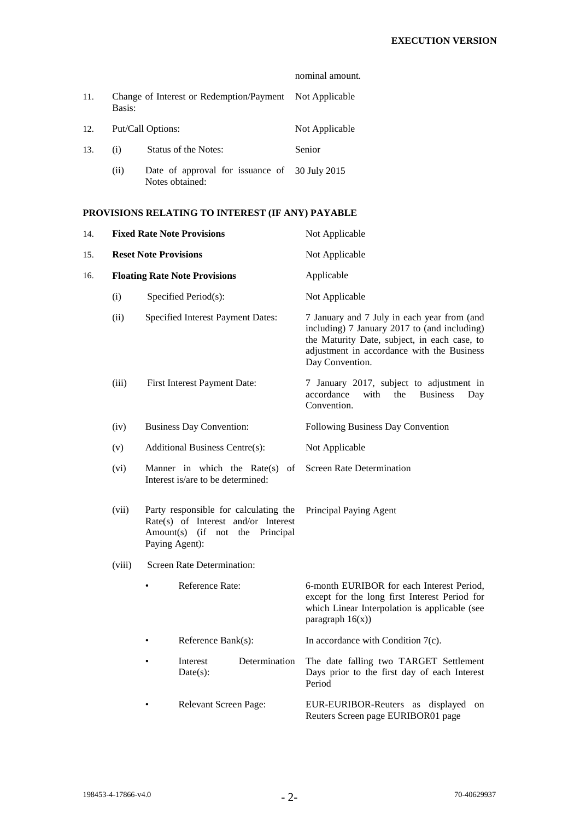|     |                                                                   |                                                                  | nominal amount. |
|-----|-------------------------------------------------------------------|------------------------------------------------------------------|-----------------|
| 11. | Change of Interest or Redemption/Payment Not Applicable<br>Basis: |                                                                  |                 |
| 12. | Put/Call Options:                                                 |                                                                  | Not Applicable  |
| 13. | (i)                                                               | Status of the Notes:                                             | Senior          |
|     | (ii)                                                              | Date of approval for issuance of 30 July 2015<br>Notes obtained: |                 |

# **PROVISIONS RELATING TO INTEREST (IF ANY) PAYABLE**

| 14.  | <b>Fixed Rate Note Provisions</b>                                                                                                                                                     |                                                                    |                         |                                                                                                                                                                                                              | Not Applicable                                                                                                                                                     |
|------|---------------------------------------------------------------------------------------------------------------------------------------------------------------------------------------|--------------------------------------------------------------------|-------------------------|--------------------------------------------------------------------------------------------------------------------------------------------------------------------------------------------------------------|--------------------------------------------------------------------------------------------------------------------------------------------------------------------|
| 15.  |                                                                                                                                                                                       | <b>Reset Note Provisions</b>                                       |                         |                                                                                                                                                                                                              | Not Applicable                                                                                                                                                     |
| 16.  |                                                                                                                                                                                       | <b>Floating Rate Note Provisions</b>                               |                         |                                                                                                                                                                                                              | Applicable                                                                                                                                                         |
|      | (i)                                                                                                                                                                                   |                                                                    | Specified Period(s):    |                                                                                                                                                                                                              | Not Applicable                                                                                                                                                     |
|      | (ii)<br>Specified Interest Payment Dates:<br>(iii)<br>First Interest Payment Date:<br>(iv)<br><b>Business Day Convention:</b><br>Additional Business Centre(s):<br>(v)                |                                                                    |                         | 7 January and 7 July in each year from (and<br>including) 7 January 2017 to (and including)<br>the Maturity Date, subject, in each case, to<br>adjustment in accordance with the Business<br>Day Convention. |                                                                                                                                                                    |
|      |                                                                                                                                                                                       |                                                                    |                         | 7 January 2017, subject to adjustment in<br>accordance<br>with<br>the<br><b>Business</b><br>Day<br>Convention.                                                                                               |                                                                                                                                                                    |
|      |                                                                                                                                                                                       |                                                                    |                         | Following Business Day Convention                                                                                                                                                                            |                                                                                                                                                                    |
|      |                                                                                                                                                                                       |                                                                    |                         | Not Applicable                                                                                                                                                                                               |                                                                                                                                                                    |
| (vi) |                                                                                                                                                                                       | Manner in which the $Rate(s)$<br>Interest is/are to be determined: | of                      | <b>Screen Rate Determination</b>                                                                                                                                                                             |                                                                                                                                                                    |
|      | (vii)<br>Party responsible for calculating the<br>Rate(s) of Interest and/or Interest<br>Amount(s) (if not<br>the Principal<br>Paying Agent):<br>Screen Rate Determination:<br>(viii) |                                                                    |                         | Principal Paying Agent                                                                                                                                                                                       |                                                                                                                                                                    |
|      |                                                                                                                                                                                       |                                                                    |                         |                                                                                                                                                                                                              |                                                                                                                                                                    |
|      |                                                                                                                                                                                       |                                                                    | Reference Rate:         |                                                                                                                                                                                                              | 6-month EURIBOR for each Interest Period,<br>except for the long first Interest Period for<br>which Linear Interpolation is applicable (see<br>paragraph $16(x)$ ) |
|      |                                                                                                                                                                                       | Reference Bank(s):                                                 |                         |                                                                                                                                                                                                              | In accordance with Condition $7(c)$ .                                                                                                                              |
|      |                                                                                                                                                                                       |                                                                    | Interest<br>$Date(s)$ : | Determination                                                                                                                                                                                                | The date falling two TARGET Settlement<br>Days prior to the first day of each Interest<br>Period                                                                   |
|      |                                                                                                                                                                                       | Relevant Screen Page:                                              |                         |                                                                                                                                                                                                              | EUR-EURIBOR-Reuters as displayed<br>on<br>Reuters Screen page EURIBOR01 page                                                                                       |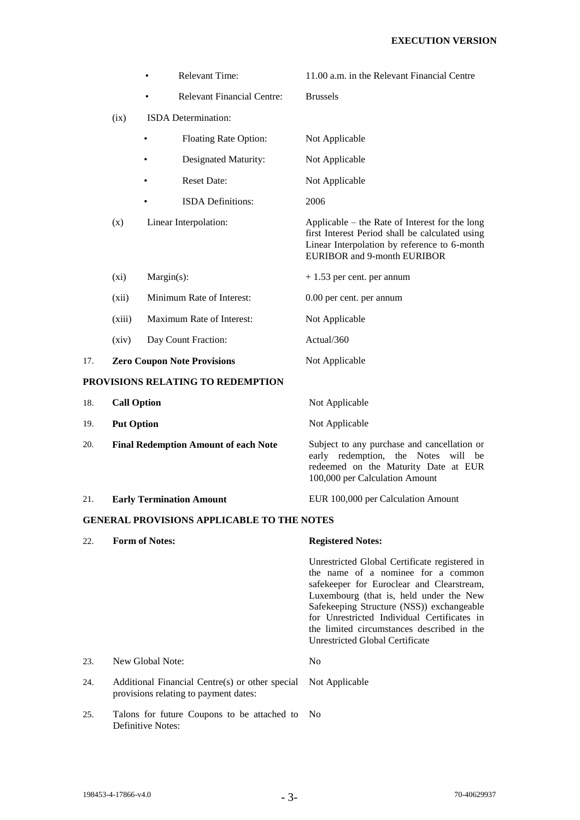|     |                    | Relevant Time:                                                                           | 11.00 a.m. in the Relevant Financial Centre                                                                                                                                                                                                                                                                                                              |
|-----|--------------------|------------------------------------------------------------------------------------------|----------------------------------------------------------------------------------------------------------------------------------------------------------------------------------------------------------------------------------------------------------------------------------------------------------------------------------------------------------|
|     |                    | <b>Relevant Financial Centre:</b>                                                        | <b>Brussels</b>                                                                                                                                                                                                                                                                                                                                          |
|     | (ix)               | ISDA Determination:                                                                      |                                                                                                                                                                                                                                                                                                                                                          |
|     |                    | Floating Rate Option:                                                                    | Not Applicable                                                                                                                                                                                                                                                                                                                                           |
|     |                    | Designated Maturity:<br>٠                                                                | Not Applicable                                                                                                                                                                                                                                                                                                                                           |
|     |                    | <b>Reset Date:</b>                                                                       | Not Applicable                                                                                                                                                                                                                                                                                                                                           |
|     |                    | <b>ISDA</b> Definitions:                                                                 | 2006                                                                                                                                                                                                                                                                                                                                                     |
|     | (x)                | Linear Interpolation:                                                                    | Applicable – the Rate of Interest for the long<br>first Interest Period shall be calculated using<br>Linear Interpolation by reference to 6-month<br><b>EURIBOR</b> and 9-month EURIBOR                                                                                                                                                                  |
|     | $(x_i)$            | Margin(s):                                                                               | $+1.53$ per cent. per annum                                                                                                                                                                                                                                                                                                                              |
|     | (xii)              | Minimum Rate of Interest:                                                                | 0.00 per cent. per annum                                                                                                                                                                                                                                                                                                                                 |
|     | (xiii)             | Maximum Rate of Interest:                                                                | Not Applicable                                                                                                                                                                                                                                                                                                                                           |
|     | (xiv)              | Day Count Fraction:                                                                      | Actual/360                                                                                                                                                                                                                                                                                                                                               |
| 17. |                    | <b>Zero Coupon Note Provisions</b>                                                       | Not Applicable                                                                                                                                                                                                                                                                                                                                           |
|     |                    | PROVISIONS RELATING TO REDEMPTION                                                        |                                                                                                                                                                                                                                                                                                                                                          |
| 18. | <b>Call Option</b> |                                                                                          | Not Applicable                                                                                                                                                                                                                                                                                                                                           |
| 19. | <b>Put Option</b>  |                                                                                          | Not Applicable                                                                                                                                                                                                                                                                                                                                           |
| 20. |                    | <b>Final Redemption Amount of each Note</b>                                              | Subject to any purchase and cancellation or<br>early redemption,<br>the Notes<br>will<br>be<br>redeemed on the Maturity Date at EUR<br>100,000 per Calculation Amount                                                                                                                                                                                    |
| 21. |                    | <b>Early Termination Amount</b>                                                          | EUR 100,000 per Calculation Amount                                                                                                                                                                                                                                                                                                                       |
|     |                    | <b>GENERAL PROVISIONS APPLICABLE TO THE NOTES</b>                                        |                                                                                                                                                                                                                                                                                                                                                          |
| 22. |                    | <b>Form of Notes:</b>                                                                    | <b>Registered Notes:</b>                                                                                                                                                                                                                                                                                                                                 |
|     |                    |                                                                                          | Unrestricted Global Certificate registered in<br>the name of a nominee for a common<br>safekeeper for Euroclear and Clearstream,<br>Luxembourg (that is, held under the New<br>Safekeeping Structure (NSS)) exchangeable<br>for Unrestricted Individual Certificates in<br>the limited circumstances described in the<br>Unrestricted Global Certificate |
| 23. |                    | New Global Note:                                                                         | N <sub>0</sub>                                                                                                                                                                                                                                                                                                                                           |
| 24. |                    | Additional Financial Centre(s) or other special<br>provisions relating to payment dates: | Not Applicable                                                                                                                                                                                                                                                                                                                                           |
| 25. |                    | Talons for future Coupons to be attached to                                              | N <sub>0</sub>                                                                                                                                                                                                                                                                                                                                           |

Definitive Notes: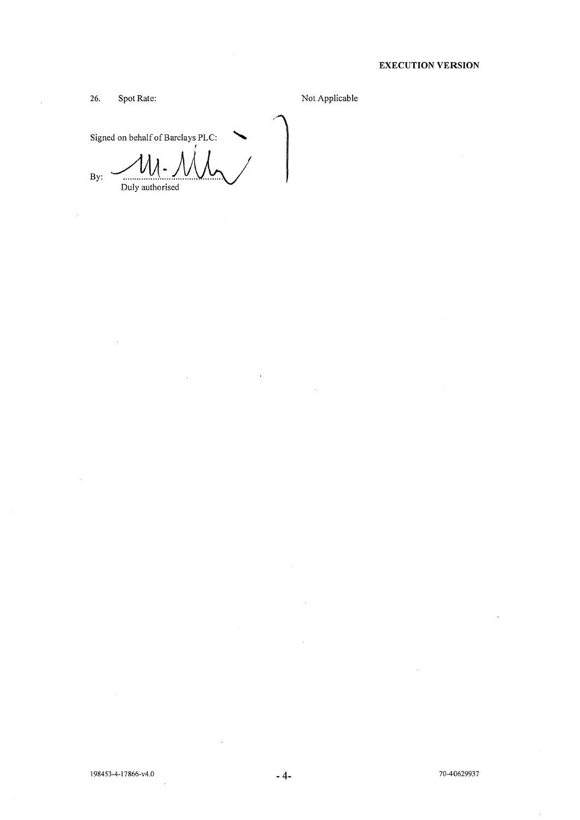## **EXECUTION VERSION**

26. Spot Rate:

l.

 $\mathcal{A}$ 

Not Applicable

Signed on behalf of Barclays PLC:

 $By:$ Duly authorised

l.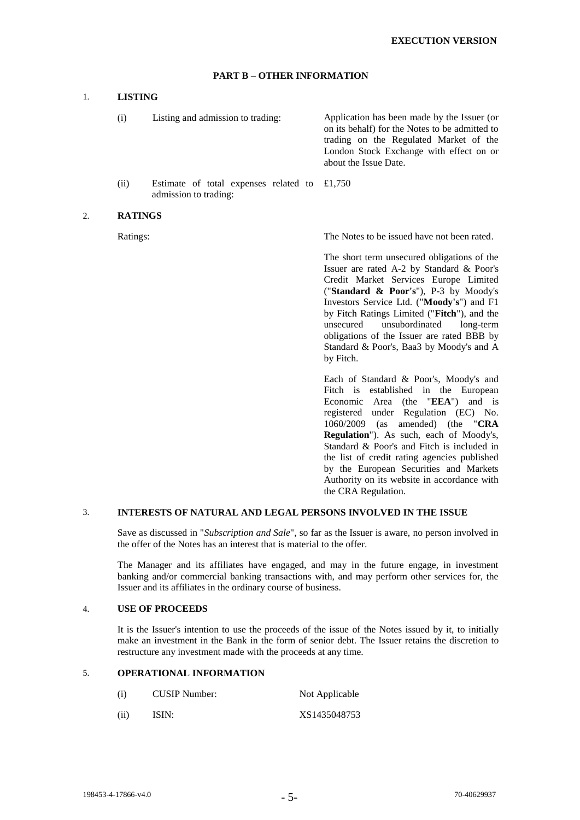### **PART B – OTHER INFORMATION**

### 1. **LISTING**

(i) Listing and admission to trading: Application has been made by the Issuer (or on its behalf) for the Notes to be admitted to trading on the Regulated Market of the London Stock Exchange with effect on or about the Issue Date.

(ii) Estimate of total expenses related to admission to trading: £1,750

#### 2. **RATINGS**

Ratings: The Notes to be issued have not been rated.

The short term unsecured obligations of the Issuer are rated A-2 by Standard & Poor's Credit Market Services Europe Limited ("**Standard & Poor's**"), P-3 by Moody's Investors Service Ltd. ("**Moody's**") and F1 by Fitch Ratings Limited ("**Fitch**"), and the unsecured unsubordinated long-term obligations of the Issuer are rated BBB by Standard & Poor's, Baa3 by Moody's and A by Fitch.

Each of Standard & Poor's, Moody's and Fitch is established in the European Economic Area (the "**EEA**") and is registered under Regulation (EC) No. 1060/2009 (as amended) (the "**CRA Regulation**"). As such, each of Moody's, Standard & Poor's and Fitch is included in the list of credit rating agencies published by the European Securities and Markets Authority on its website in accordance with the CRA Regulation.

### 3. **INTERESTS OF NATURAL AND LEGAL PERSONS INVOLVED IN THE ISSUE**

Save as discussed in "*Subscription and Sale*", so far as the Issuer is aware, no person involved in the offer of the Notes has an interest that is material to the offer.

The Manager and its affiliates have engaged, and may in the future engage, in investment banking and/or commercial banking transactions with, and may perform other services for, the Issuer and its affiliates in the ordinary course of business.

#### 4. **USE OF PROCEEDS**

It is the Issuer's intention to use the proceeds of the issue of the Notes issued by it, to initially make an investment in the Bank in the form of senior debt. The Issuer retains the discretion to restructure any investment made with the proceeds at any time.

### 5. **OPERATIONAL INFORMATION**

- (i) CUSIP Number: Not Applicable
- (ii) ISIN: XS1435048753